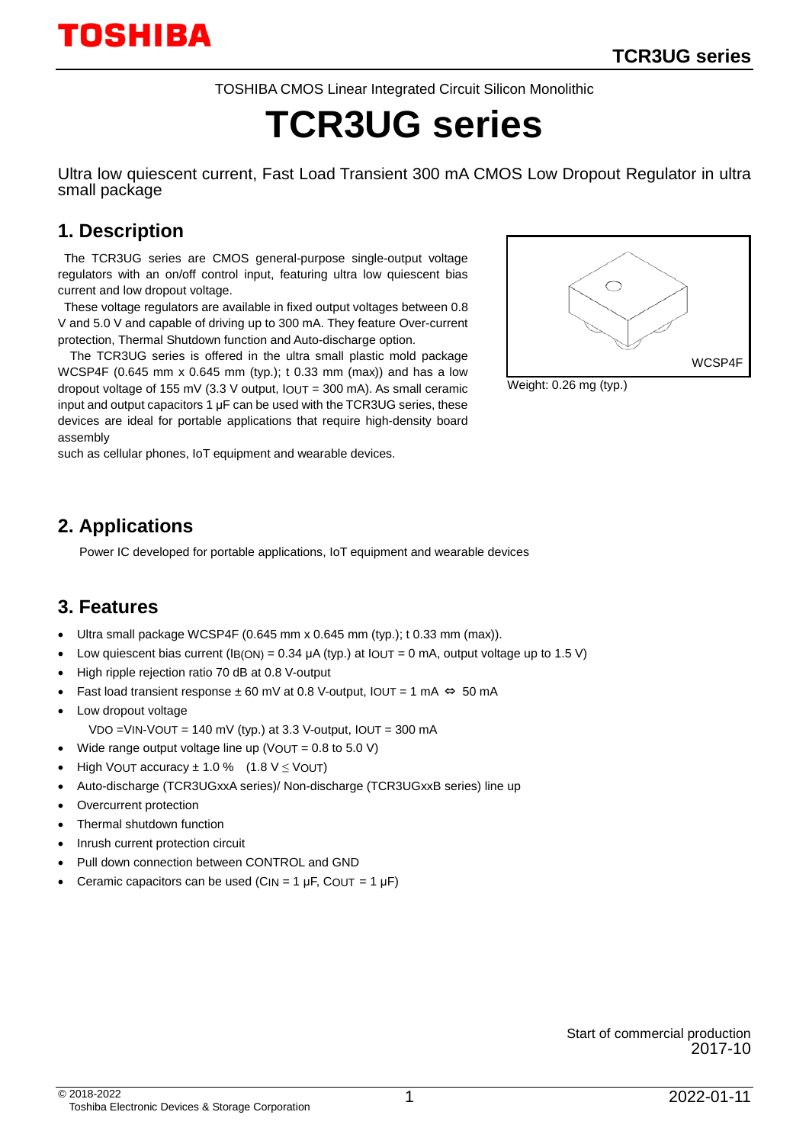TOSHIBA CMOS Linear Integrated Circuit Silicon Monolithic

# **TCR3UG series**

Ultra low quiescent current, Fast Load Transient 300 mA CMOS Low Dropout Regulator in ultra small package

## **1. Description**

The TCR3UG series are CMOS general-purpose single-output voltage regulators with an on/off control input, featuring ultra low quiescent bias current and low dropout voltage.

These voltage regulators are available in fixed output voltages between 0.8 V and 5.0 V and capable of driving up to 300 mA. They feature Over-current protection, Thermal Shutdown function and Auto-discharge option.

The TCR3UG series is offered in the ultra small plastic mold package WCSP4F (0.645 mm x 0.645 mm (typ.); t 0.33 mm (max)) and has a low dropout voltage of 155 mV (3.3 V output,  $IOUT = 300$  mA). As small ceramic input and output capacitors 1 μF can be used with the TCR3UG series, these devices are ideal for portable applications that require high-density board assembly

such as cellular phones, IoT equipment and wearable devices.



Weight: 0.26 mg (typ.)

## **2. Applications**

Power IC developed for portable applications, IoT equipment and wearable devices

### **3. Features**

- Ultra small package WCSP4F (0.645 mm x 0.645 mm (typ.); t 0.33 mm (max)).
- Low quiescent bias current (IB(ON) =  $0.34 \mu$ A (typ.) at IOUT = 0 mA, output voltage up to 1.5 V)
- High ripple rejection ratio 70 dB at 0.8 V-output
- Fast load transient response ± 60 mV at 0.8 V-output,  $IOUT = 1 mA$  ⇔ 50 mA
- Low dropout voltage VDO =VIN-VOUT = 140 mV (typ.) at 3.3 V-output,  $IOUT = 300$  mA
- Wide range output voltage line up (VOUT =  $0.8$  to  $5.0$  V)
- High VOUT accuracy  $\pm 1.0$  % (1.8 V  $\leq$  VOUT)
- Auto-discharge (TCR3UGxxA series)/ Non-discharge (TCR3UGxxB series) line up
- Overcurrent protection
- Thermal shutdown function
- Inrush current protection circuit
- Pull down connection between CONTROL and GND
- Ceramic capacitors can be used (C<sub>IN</sub> = 1  $\mu$ F, C<sub>OUT</sub> = 1  $\mu$ F)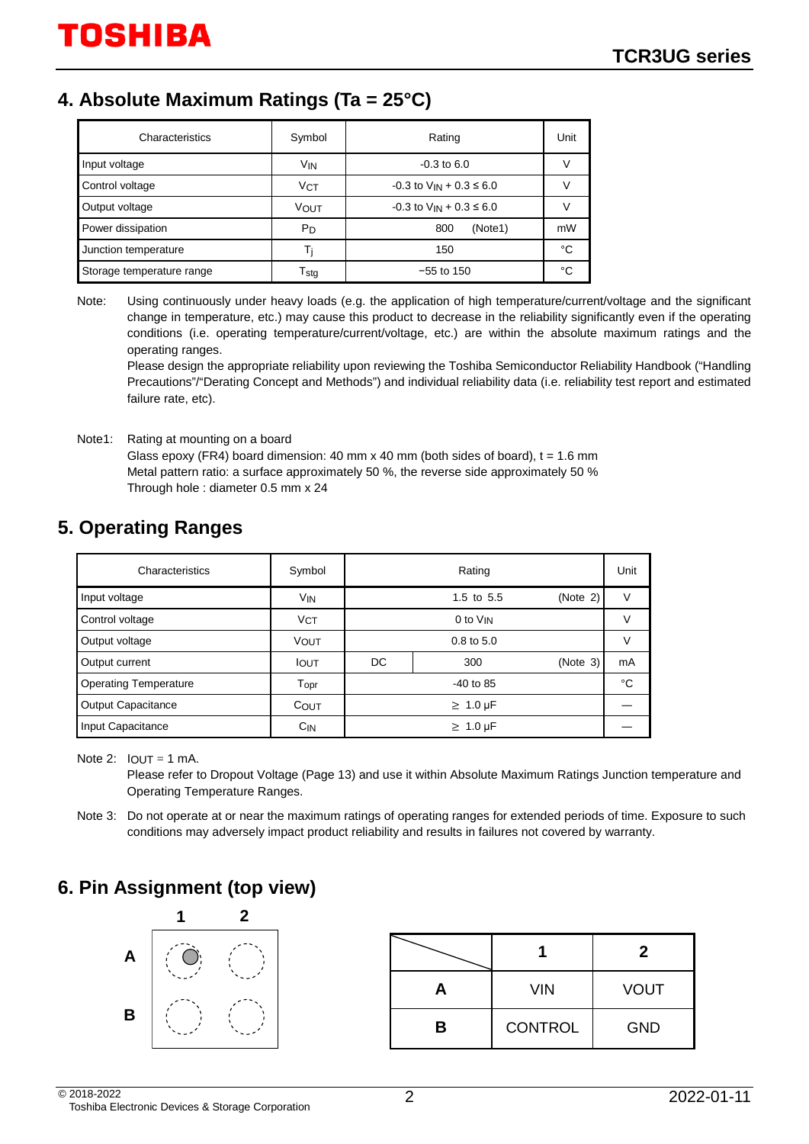## **4. Absolute Maximum Ratings (Ta = 25°C)**

| Characteristics           | Symbol                      | Rating                           | Unit |
|---------------------------|-----------------------------|----------------------------------|------|
| Input voltage             | V <sub>IN</sub>             | $-0.3$ to 6.0                    |      |
| Control voltage           | <b>VCT</b>                  | $-0.3$ to $V_{IN} + 0.3 \le 6.0$ |      |
| Output voltage            | VOUT                        | $-0.3$ to $V_{IN} + 0.3 \le 6.0$ |      |
| Power dissipation         | PD                          | 800<br>(Note1)                   | mW   |
| Junction temperature      |                             | 150                              | °C   |
| Storage temperature range | $\mathsf{T}_{\mathsf{std}}$ | $-55$ to 150                     | °C   |

Note: Using continuously under heavy loads (e.g. the application of high temperature/current/voltage and the significant change in temperature, etc.) may cause this product to decrease in the reliability significantly even if the operating conditions (i.e. operating temperature/current/voltage, etc.) are within the absolute maximum ratings and the operating ranges.

Please design the appropriate reliability upon reviewing the Toshiba Semiconductor Reliability Handbook ("Handling Precautions"/"Derating Concept and Methods") and individual reliability data (i.e. reliability test report and estimated failure rate, etc).

Note1: Rating at mounting on a board Glass epoxy (FR4) board dimension: 40 mm x 40 mm (both sides of board),  $t = 1.6$  mm Metal pattern ratio: a surface approximately 50 %, the reverse side approximately 50 % Through hole : diameter 0.5 mm x 24

## **5. Operating Ranges**

| Characteristics              | Symbol                      | Rating                 |                      |          |    |
|------------------------------|-----------------------------|------------------------|----------------------|----------|----|
| Input voltage                | V <sub>IN</sub>             | (Note 2)<br>1.5 to 5.5 |                      |          | V  |
| Control voltage              | <b>VCT</b>                  |                        | 0 to V <sub>IN</sub> |          | v  |
| Output voltage               | <b>VOUT</b>                 | $0.8$ to $5.0$         |                      |          | V  |
| Output current               | <b>I</b> OUT                | DC                     | 300                  | (Note 3) | mA |
| <b>Operating Temperature</b> | $\mathsf{T}_{\mathsf{OPT}}$ |                        | $-40$ to 85          |          | °C |
| <b>Output Capacitance</b>    | COUT                        | $\geq 1.0 \,\mu F$     |                      |          |    |
| Input Capacitance            | $C_{IN}$                    |                        | $\geq 1.0 \,\mu F$   |          |    |

Note 2:  $IOUT = 1 mA$ .

Please refer to Dropout Voltage (Page 13) and use it within Absolute Maximum Ratings Junction temperature and Operating Temperature Ranges.

Note 3: Do not operate at or near the maximum ratings of operating ranges for extended periods of time. Exposure to such conditions may adversely impact product reliability and results in failures not covered by warranty.

## **6. Pin Assignment (top view)**



|   |                | 2           |
|---|----------------|-------------|
| H | <b>VIN</b>     | <b>VOUT</b> |
| в | <b>CONTROL</b> | <b>GND</b>  |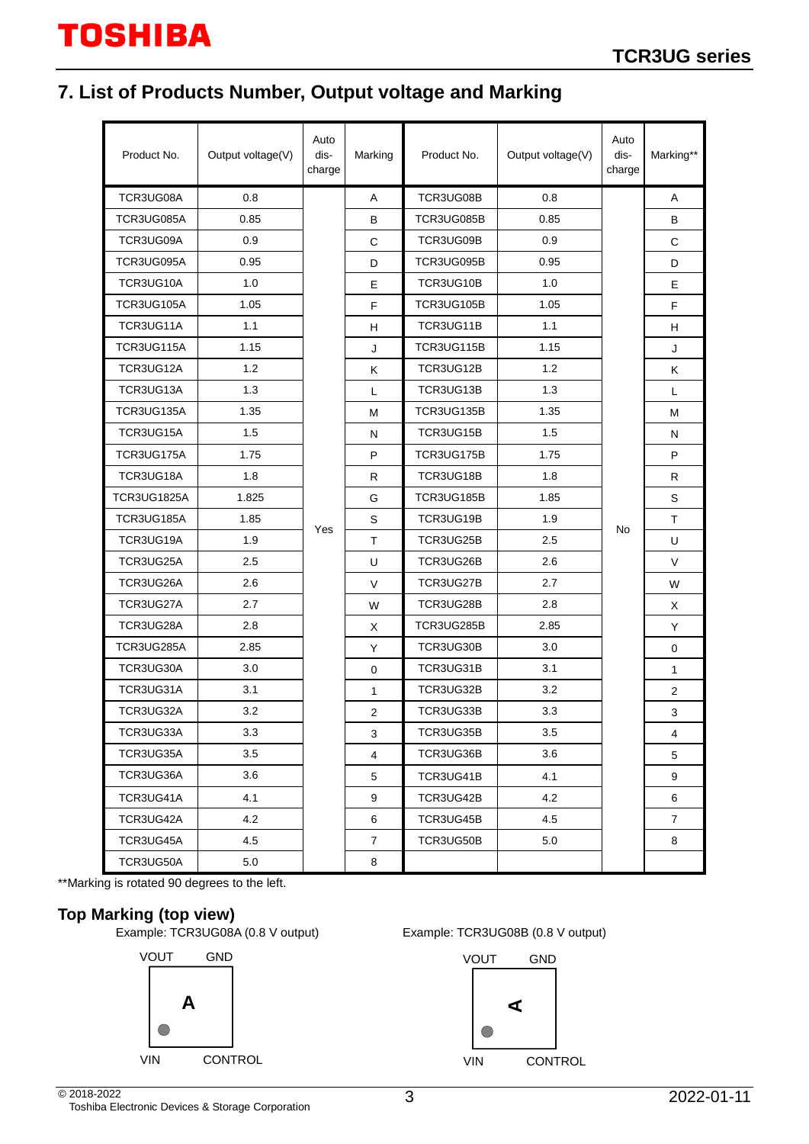# **7. List of Products Number, Output voltage and Marking**

| Product No. | Output voltage(V) | Auto<br>dis-<br>charge | Marking        | Product No. | Output voltage(V) | Auto<br>dis-<br>charge | Marking**      |
|-------------|-------------------|------------------------|----------------|-------------|-------------------|------------------------|----------------|
| TCR3UG08A   | 0.8               |                        | A              | TCR3UG08B   | 0.8               |                        | A              |
| TCR3UG085A  | 0.85              |                        | B              | TCR3UG085B  | 0.85              |                        | B              |
| TCR3UG09A   | 0.9               |                        | $\mathsf C$    | TCR3UG09B   | 0.9               |                        | C              |
| TCR3UG095A  | 0.95              |                        | D              | TCR3UG095B  | 0.95              |                        | D              |
| TCR3UG10A   | 1.0               |                        | E              | TCR3UG10B   | 1.0               |                        | E              |
| TCR3UG105A  | 1.05              |                        | F              | TCR3UG105B  | 1.05              |                        | F              |
| TCR3UG11A   | 1.1               |                        | H              | TCR3UG11B   | 1.1               |                        | H.             |
| TCR3UG115A  | 1.15              |                        | J              | TCR3UG115B  | 1.15              |                        | J              |
| TCR3UG12A   | 1.2               |                        | Κ              | TCR3UG12B   | 1.2               |                        | Κ              |
| TCR3UG13A   | 1.3               |                        | L              | TCR3UG13B   | 1.3               |                        | L.             |
| TCR3UG135A  | 1.35              |                        | M              | TCR3UG135B  | 1.35              |                        | м              |
| TCR3UG15A   | 1.5               |                        | N              | TCR3UG15B   | 1.5               |                        | N              |
| TCR3UG175A  | 1.75              |                        | P              | TCR3UG175B  | 1.75              |                        | P              |
| TCR3UG18A   | 1.8               |                        | R.             | TCR3UG18B   | 1.8               |                        | R.             |
| TCR3UG1825A | 1.825             |                        | G              | TCR3UG185B  | 1.85              |                        | S              |
| TCR3UG185A  | 1.85              |                        | $\mathbf S$    | TCR3UG19B   | 1.9               |                        | T.             |
| TCR3UG19A   | 1.9               | Yes                    | T              | TCR3UG25B   | 2.5               | No                     | U              |
| TCR3UG25A   | 2.5               |                        | U              | TCR3UG26B   | 2.6               |                        | V              |
| TCR3UG26A   | 2.6               |                        | $\vee$         | TCR3UG27B   | 2.7               |                        | W              |
| TCR3UG27A   | 2.7               |                        | W              | TCR3UG28B   | 2.8               |                        | X              |
| TCR3UG28A   | 2.8               |                        | X              | TCR3UG285B  | 2.85              |                        | Y              |
| TCR3UG285A  | 2.85              |                        | Y              | TCR3UG30B   | 3.0               |                        | 0              |
| TCR3UG30A   | 3.0               |                        | $\mathbf 0$    | TCR3UG31B   | 3.1               |                        | $\mathbf{1}$   |
| TCR3UG31A   | 3.1               |                        | $\mathbf{1}$   | TCR3UG32B   | 3.2               |                        | $\overline{2}$ |
| TCR3UG32A   | 3.2               |                        | $\overline{2}$ | TCR3UG33B   | 3.3               |                        | 3              |
| TCR3UG33A   | 3.3               |                        | 3              | TCR3UG35B   | 3.5               |                        | 4              |
| TCR3UG35A   | 3.5               |                        | $\overline{4}$ | TCR3UG36B   | 3.6               |                        | 5              |
| TCR3UG36A   | 3.6               |                        | 5              | TCR3UG41B   | 4.1               |                        | 9              |
| TCR3UG41A   | 4.1               |                        | 9              | TCR3UG42B   | 4.2               |                        | 6              |
| TCR3UG42A   | 4.2               |                        | 6              | TCR3UG45B   | 4.5               |                        | 7              |
| TCR3UG45A   | 4.5               |                        | $\overline{7}$ | TCR3UG50B   | 5.0               |                        | 8              |
| TCR3UG50A   | 5.0               |                        | 8              |             |                   |                        |                |

\*\*Marking is rotated 90 degrees to the left.

### **Top Marking (top view)**

Example: TCR3UG08A (0.8 V output) Example: TCR3UG08B (0.8 V output)





2022-01-11 © 2018-2022 Toshiba Electronic Devices & Storage Corporation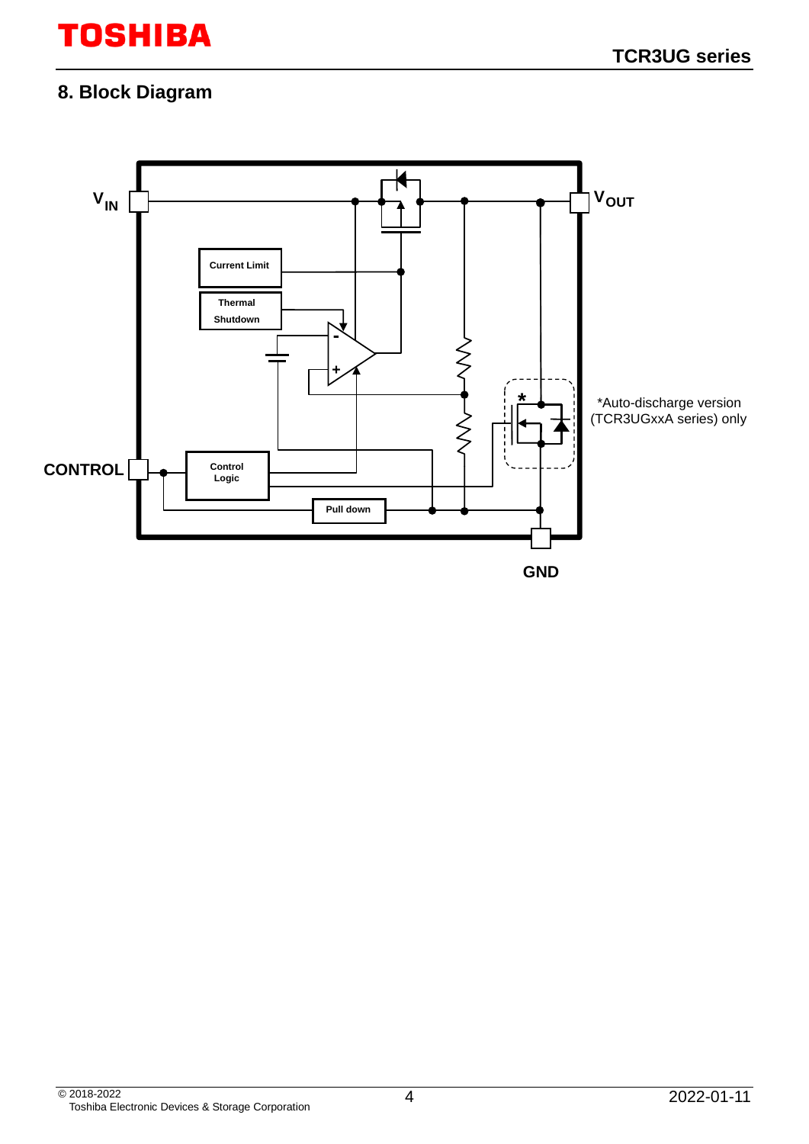# **8. Block Diagram**

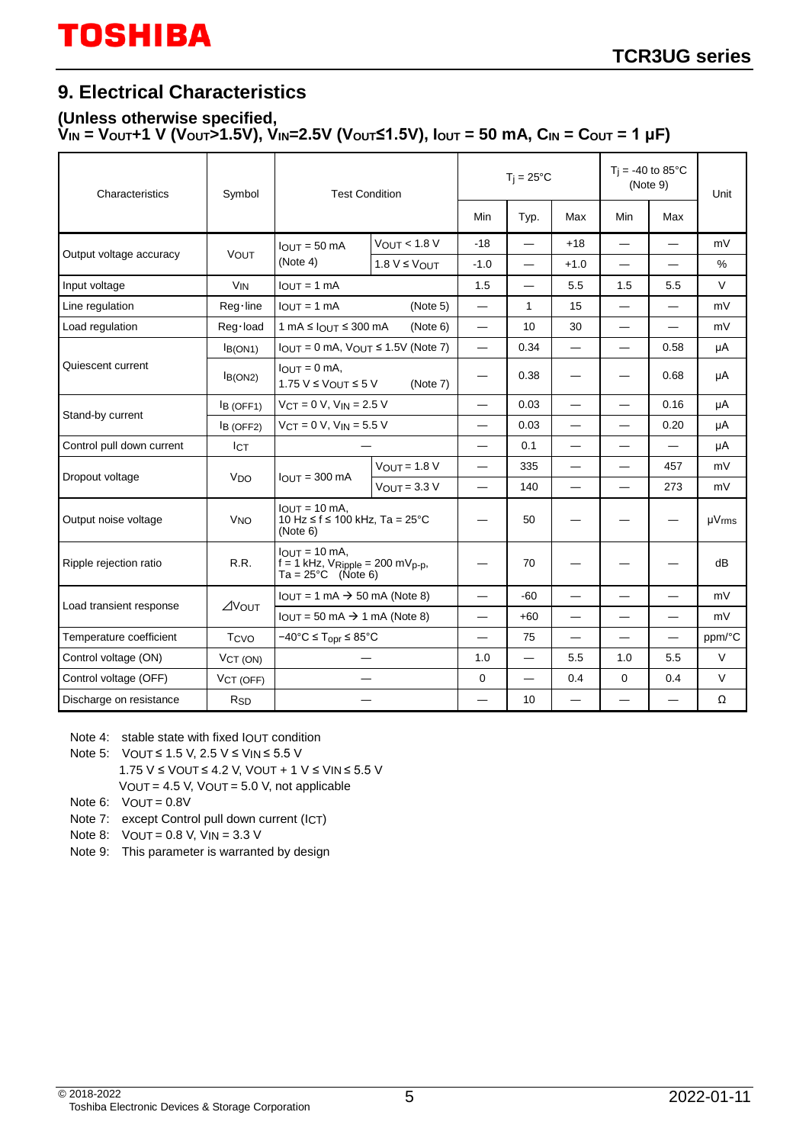# **9. Electrical Characteristics**

#### **(Unless otherwise specified, VIN = VOUT+1 V (VOUT>1.5V), VIN=2.5V (VOUT≤1.5V), IOUT = 50 mA, CIN = COUT = 1 μF)**

| Characteristics           | Symbol                | <b>Test Condition</b>                                                                      |                   | $T_i = 25^{\circ}C$              |                                  |                          | $T_i = -40$ to 85°C<br>(Note 9) |                          | Unit                   |
|---------------------------|-----------------------|--------------------------------------------------------------------------------------------|-------------------|----------------------------------|----------------------------------|--------------------------|---------------------------------|--------------------------|------------------------|
|                           |                       |                                                                                            |                   | Min                              | Typ.                             | Max                      | Min                             | Max                      |                        |
| Output voltage accuracy   | VOUT                  | $IQIIT = 50 mA$                                                                            | $V_{OUT}$ < 1.8 V | $-18$                            |                                  | $+18$                    | $\overline{\phantom{0}}$        |                          | mV                     |
|                           |                       | (Note 4)                                                                                   | $1.8 V \leq$ VOUT | $-1.0$                           | $\overbrace{\phantom{12322111}}$ | $+1.0$                   | $\overline{\phantom{0}}$        |                          | %                      |
| Input voltage             | <b>V<sub>IN</sub></b> | $IOUT = 1 mA$                                                                              |                   | 1.5                              | $\overline{\phantom{0}}$         | 5.5                      | 1.5                             | 5.5                      | $\vee$                 |
| Line regulation           | Reg·line              | $I_{OUT} = 1 mA$                                                                           | (Note 5)          | $\overline{\phantom{0}}$         | $\mathbf{1}$                     | 15                       | $\overline{\phantom{0}}$        |                          | mV                     |
| Load regulation           | Reg·load              | $1 \text{ mA} \leq 10 \text{ UT} \leq 300 \text{ mA}$                                      | (Note 6)          | $\overbrace{\phantom{12322111}}$ | 10                               | 30                       |                                 | $\overline{\phantom{0}}$ | mV                     |
|                           | IB(ON1)               | $I_{\text{OUT}} = 0$ mA, $V_{\text{OUT}} \le 1.5V$ (Note 7)                                |                   | $\overbrace{\phantom{12322111}}$ | 0.34                             | $\overline{\phantom{0}}$ |                                 | 0.58                     | μA                     |
| Quiescent current         | IB(ON2)               | $IOLIT = 0 mA$ ,<br>$1.75 V \leq V_{OUT} \leq 5 V$                                         |                   | 0.38                             |                                  | $\overline{\phantom{0}}$ | 0.68                            | μA                       |                        |
| Stand-by current          | IB (OFF1)             | $VCT = 0 V$ , $VIN = 2.5 V$                                                                |                   | 0.03                             |                                  | $\overline{\phantom{0}}$ | 0.16                            | μA                       |                        |
|                           | B (OFF2)              | $V_{CT} = 0 V$ , $V_{IN} = 5.5 V$                                                          |                   | 0.03                             | $\overline{\phantom{0}}$         | $\overline{\phantom{0}}$ | 0.20                            | μA                       |                        |
| Control pull down current | <b>ICT</b>            |                                                                                            |                   | $\overline{\phantom{0}}$         | 0.1                              | $\overline{\phantom{0}}$ | $\overline{\phantom{0}}$        |                          | μA                     |
| Dropout voltage           | <b>V<sub>DO</sub></b> | $IQIIT = 300 mA$                                                                           | $VOUT = 1.8 V$    | $\overline{\phantom{0}}$         | 335                              |                          | $\overline{\phantom{0}}$        | 457                      | mV                     |
|                           |                       |                                                                                            | $V$ OUT = 3.3 V   | $\overline{\phantom{0}}$         | 140                              |                          | $\overline{\phantom{0}}$        | 273                      | mV                     |
| Output noise voltage      | <b>V<sub>NO</sub></b> | $IOUT = 10 mA$ .<br>10 Hz ≤ f ≤ 100 kHz, Ta = 25°C<br>(Note 6)                             |                   |                                  | 50                               |                          |                                 |                          | $\mu V$ <sub>rms</sub> |
| Ripple rejection ratio    | R.R.                  | $IQIUT = 10 mA$<br>$f = 1$ kHz, $V$ Ripple = 200 m $V$ p-p,<br>$Ta = 25^{\circ}C$ (Note 6) |                   |                                  | 70                               |                          |                                 |                          | dB                     |
|                           |                       | $IOI/T = 1 mA \rightarrow 50 mA (Note 8)$                                                  |                   | $\overline{\phantom{0}}$         | $-60$                            |                          | $\overline{\phantom{0}}$        |                          | mV                     |
| Load transient response   | $\angle$ Yout         | $I_{OUT} = 50 \text{ mA} \rightarrow 1 \text{ mA}$ (Note 8)                                |                   |                                  | +60                              |                          |                                 |                          | mV                     |
| Temperature coefficient   | Tcvo                  | $-40^{\circ}$ C $\leq$ T <sub>opr</sub> $\leq$ 85 $^{\circ}$ C                             |                   | $\overline{\phantom{0}}$         | 75                               |                          | $\overline{\phantom{0}}$        | $\overline{\phantom{0}}$ | ppm/°C                 |
| Control voltage (ON)      | VCT (ON)              |                                                                                            |                   | 1.0                              | $\overbrace{\phantom{12321111}}$ | 5.5                      | 1.0                             | 5.5                      | V                      |
| Control voltage (OFF)     | VCT (OFF)             | $\overline{\phantom{0}}$                                                                   |                   | 0                                | $\overline{\phantom{0}}$         | 0.4                      | 0                               | 0.4                      | $\vee$                 |
| Discharge on resistance   | R <sub>SD</sub>       |                                                                                            |                   |                                  | 10                               |                          |                                 |                          | Ω                      |

Note 4: stable state with fixed IOUT condition

- Note 5: VOUT ≤ 1.5 V, 2.5 V ≤ VIN ≤ 5.5 V
	- 1.75 V ≤ VOUT ≤ 4.2 V, VOUT + 1 V ≤ VIN ≤ 5.5 V VOUT = 4.5 V, VOUT = 5.0 V, not applicable
- Note  $6:$  VOUT =  $0.8V$
- Note 7: except Control pull down current (ICT)
- Note 8: VOUT = 0.8 V, VIN = 3.3 V
- Note 9: This parameter is warranted by design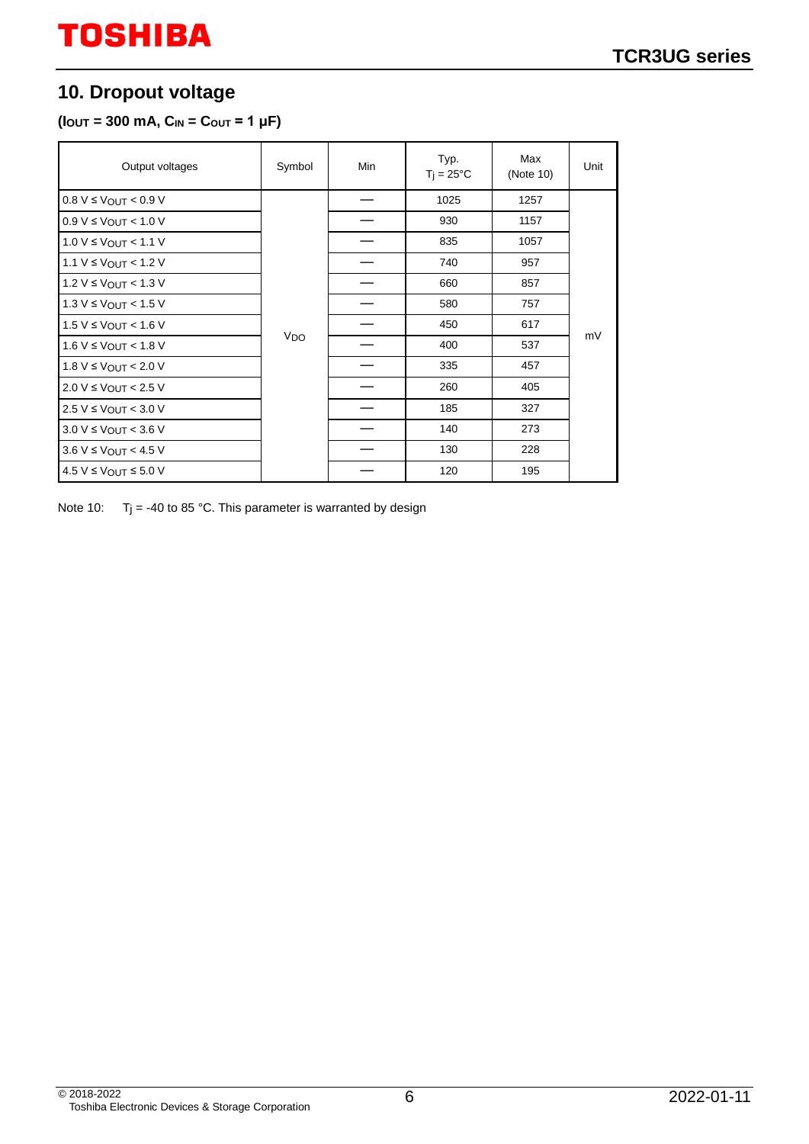# **10. Dropout voltage**

#### $(l_{\text{OUT}} = 300 \text{ mA}, C_{\text{IN}} = C_{\text{OUT}} = 1 \text{ }\mu\text{F})$

| Output voltages                  | Symbol          | Min | Typ.<br>$T_i = 25^{\circ}C$ | Max<br>(Note 10) | Unit |
|----------------------------------|-----------------|-----|-----------------------------|------------------|------|
| $0.8 V \leq V_{OUT} < 0.9 V$     |                 |     | 1025                        | 1257             |      |
| $0.9 V \leq$ Vout < 1.0 V        |                 |     | 930                         | 1157             |      |
| $1.0 V ≤ V$ OUT < 1.1 V          |                 |     | 835                         | 1057             |      |
| $1.1 V ≤ V_{OUT} < 1.2 V$        | V <sub>DO</sub> |     | 740                         | 957              |      |
| 1.2 V ≤ V <sub>OUT</sub> < 1.3 V |                 |     | 660                         | 857              |      |
| $1.3 V \leq$ Vout < 1.5 V        |                 |     | 580                         | 757              |      |
| 1.5 V ≤ V <sub>OUT</sub> < 1.6 V |                 |     | 450                         | 617              |      |
| 1.6 V ≤ VOUT < 1.8 V             |                 |     | 400                         | 537              | mV   |
| 1.8 V ≤ VOUT < 2.0 V             |                 |     | 335                         | 457              |      |
| $2.0 V ≤ V_{OUT} < 2.5 V$        |                 |     | 260                         | 405              |      |
| 2.5 V ≤ VOUT < 3.0 V             |                 |     | 185                         | 327              |      |
| $3.0 V \leq$ Vout < 3.6 V        |                 |     | 140                         | 273              |      |
| $3.6 V \leq$ Vout < 4.5 V        |                 |     | 130                         | 228              |      |
| $4.5 V \leq V_{OUT} \leq 5.0 V$  |                 |     | 120                         | 195              |      |

Note 10:  $T_j = -40$  to 85 °C. This parameter is warranted by design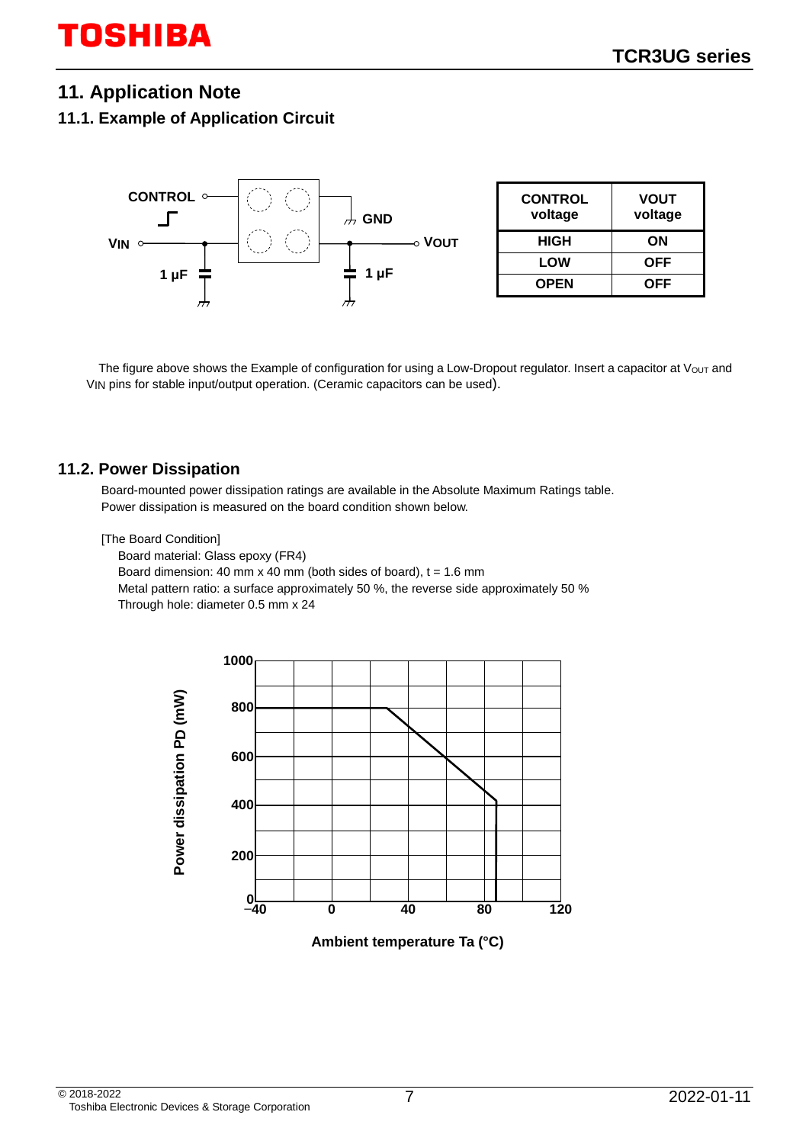### **11. Application Note**

#### **11.1. Example of Application Circuit**



The figure above shows the Example of configuration for using a Low-Dropout regulator. Insert a capacitor at  $V_{OUT}$  and VIN pins for stable input/output operation. (Ceramic capacitors can be used).

#### **11.2. Power Dissipation**

Board-mounted power dissipation ratings are available in the Absolute Maximum Ratings table. Power dissipation is measured on the board condition shown below.

[The Board Condition]

Board material: Glass epoxy (FR4) Board dimension: 40 mm x 40 mm (both sides of board),  $t = 1.6$  mm Metal pattern ratio: a surface approximately 50 %, the reverse side approximately 50 % Through hole: diameter 0.5 mm x 24



**Ambient temperature Ta (°C)**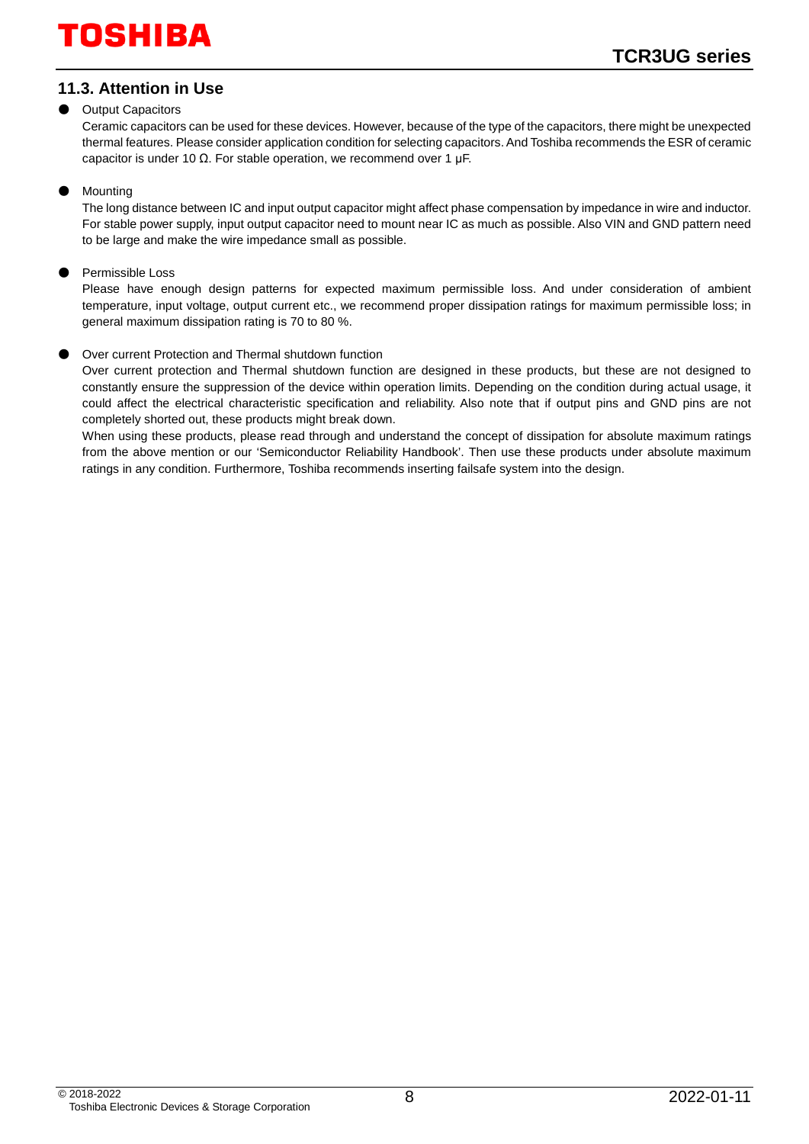### **11.3. Attention in Use**

#### **Output Capacitors**

Ceramic capacitors can be used for these devices. However, because of the type of the capacitors, there might be unexpected thermal features. Please consider application condition for selecting capacitors. And Toshiba recommends the ESR of ceramic capacitor is under 10 Ω. For stable operation, we recommend over 1 μF.

#### ● Mounting

The long distance between IC and input output capacitor might affect phase compensation by impedance in wire and inductor. For stable power supply, input output capacitor need to mount near IC as much as possible. Also VIN and GND pattern need to be large and make the wire impedance small as possible.

#### Permissible Loss

Please have enough design patterns for expected maximum permissible loss. And under consideration of ambient temperature, input voltage, output current etc., we recommend proper dissipation ratings for maximum permissible loss; in general maximum dissipation rating is 70 to 80 %.

#### Over current Protection and Thermal shutdown function

Over current protection and Thermal shutdown function are designed in these products, but these are not designed to constantly ensure the suppression of the device within operation limits. Depending on the condition during actual usage, it could affect the electrical characteristic specification and reliability. Also note that if output pins and GND pins are not completely shorted out, these products might break down.

When using these products, please read through and understand the concept of dissipation for absolute maximum ratings from the above mention or our 'Semiconductor Reliability Handbook'. Then use these products under absolute maximum ratings in any condition. Furthermore, Toshiba recommends inserting failsafe system into the design.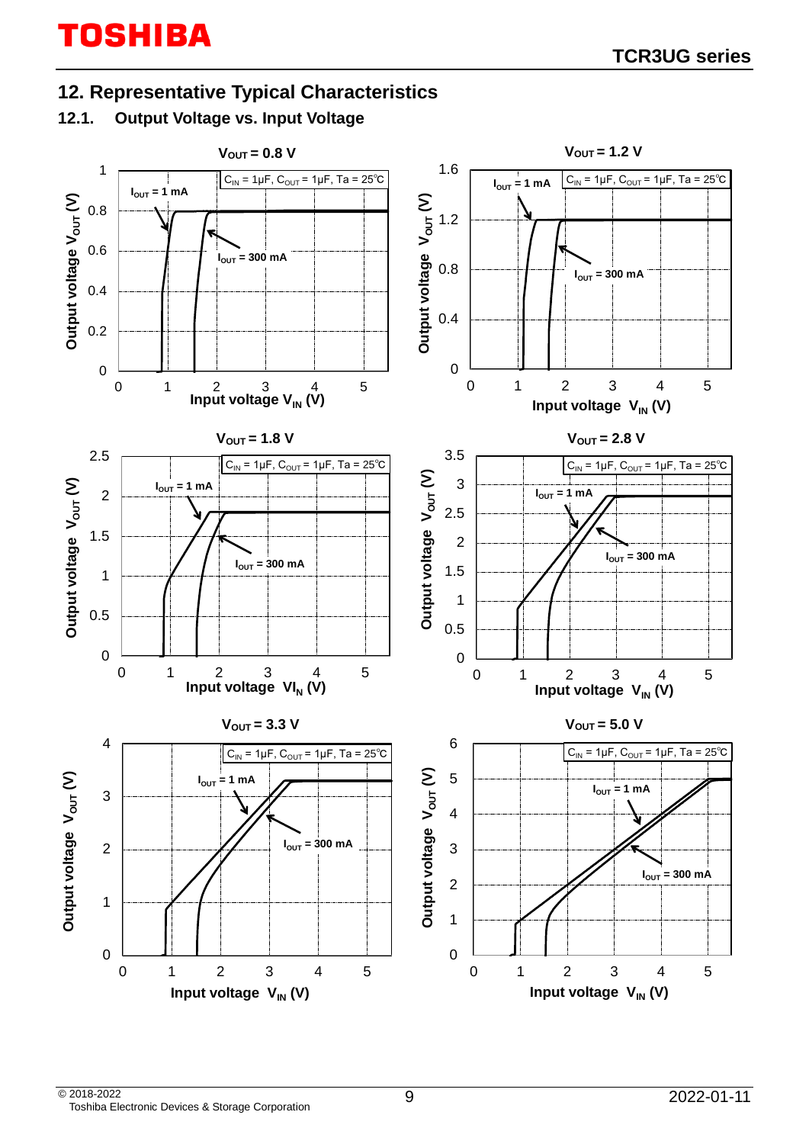# **12. Representative Typical Characteristics**

# **12.1. Output Voltage vs. Input Voltage**

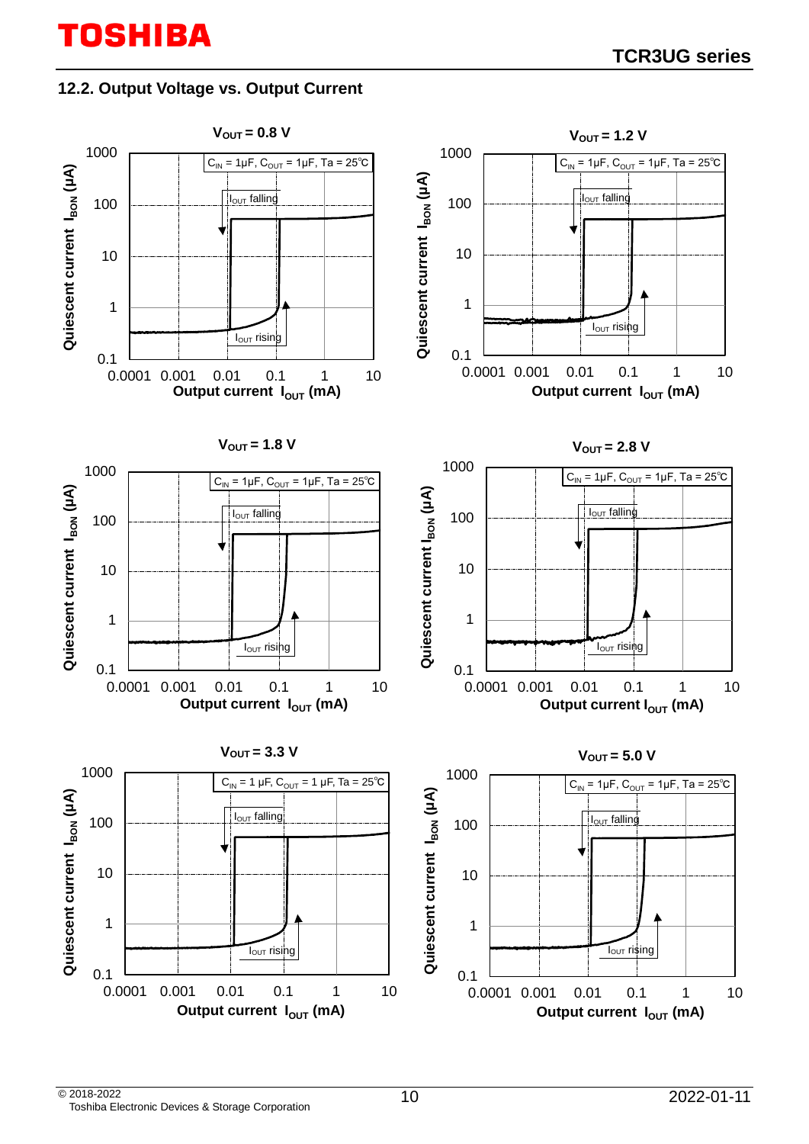### **12.2. Output Voltage vs. Output Current**

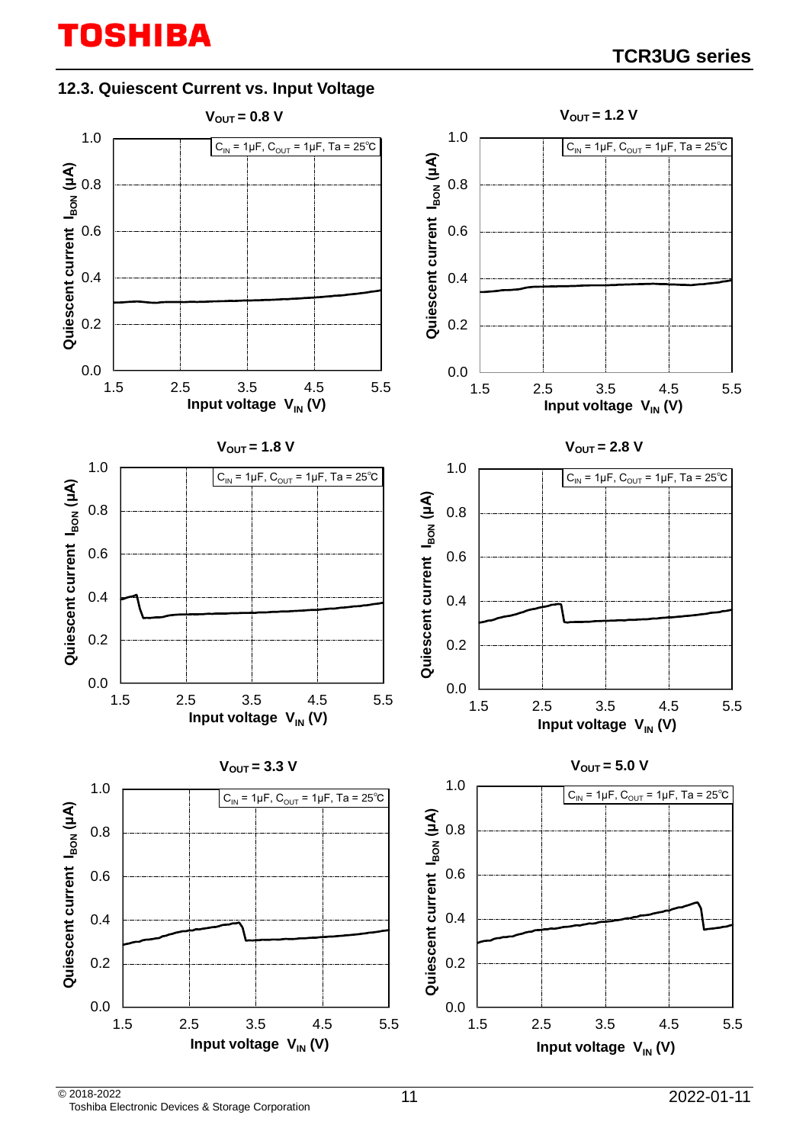### **12.3. Quiescent Current vs. Input Voltage**

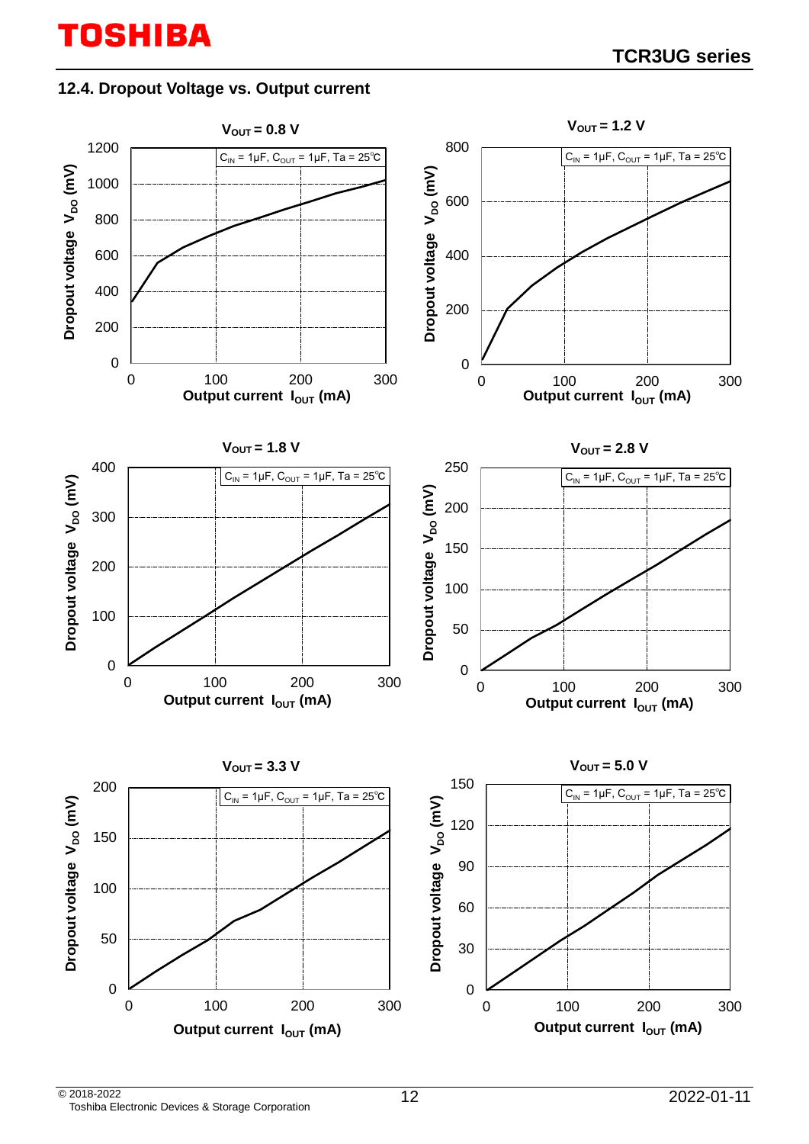### **12.4. Dropout Voltage vs. Output current**

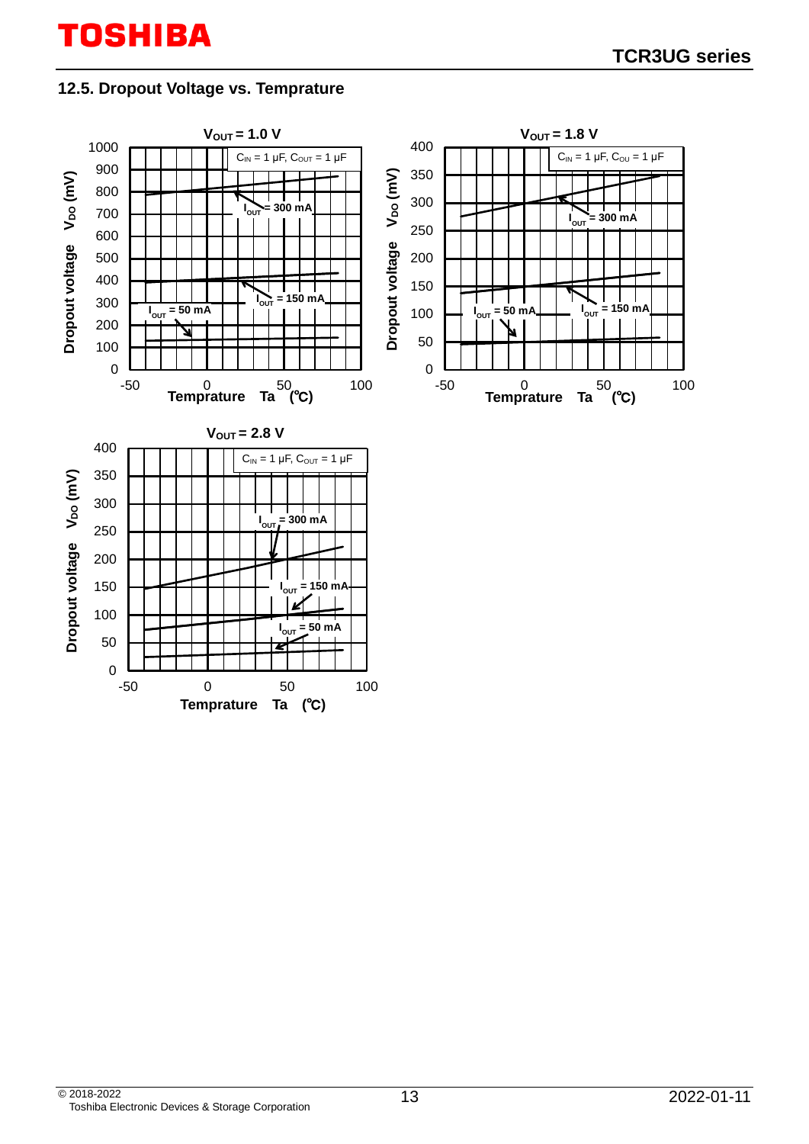### **12.5. Dropout Voltage vs. Temprature**

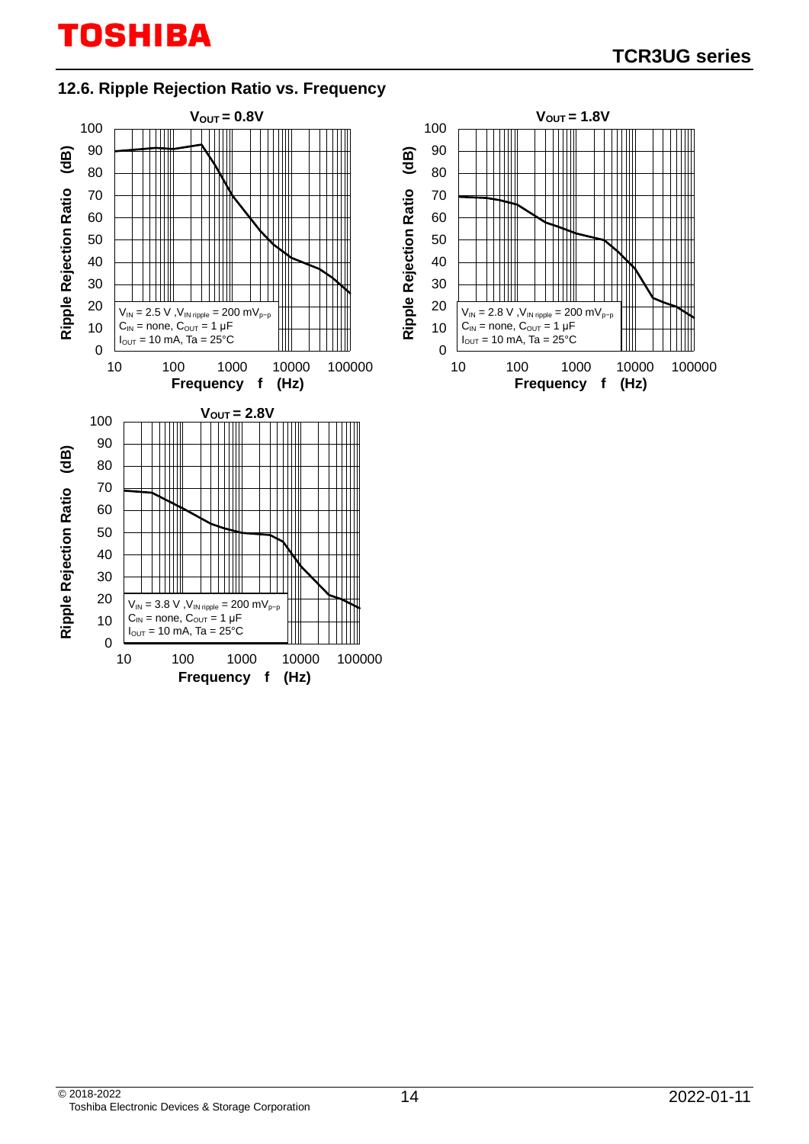## **12.6. Ripple Rejection Ratio vs. Frequency**



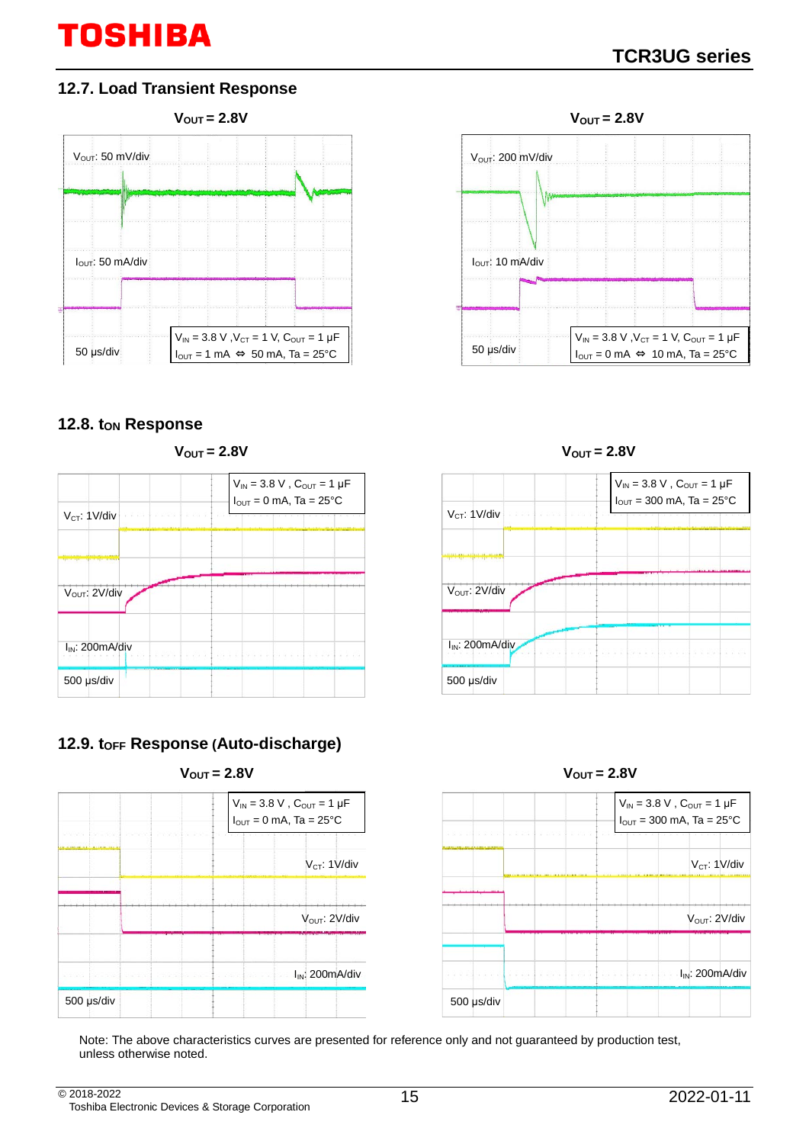### **12.7. Load Transient Response**



#### 12.8. t<sub>ON</sub> Response









### **12.9. tOFF Response (Auto-discharge)**







Note: The above characteristics curves are presented for reference only and not guaranteed by production test, unless otherwise noted.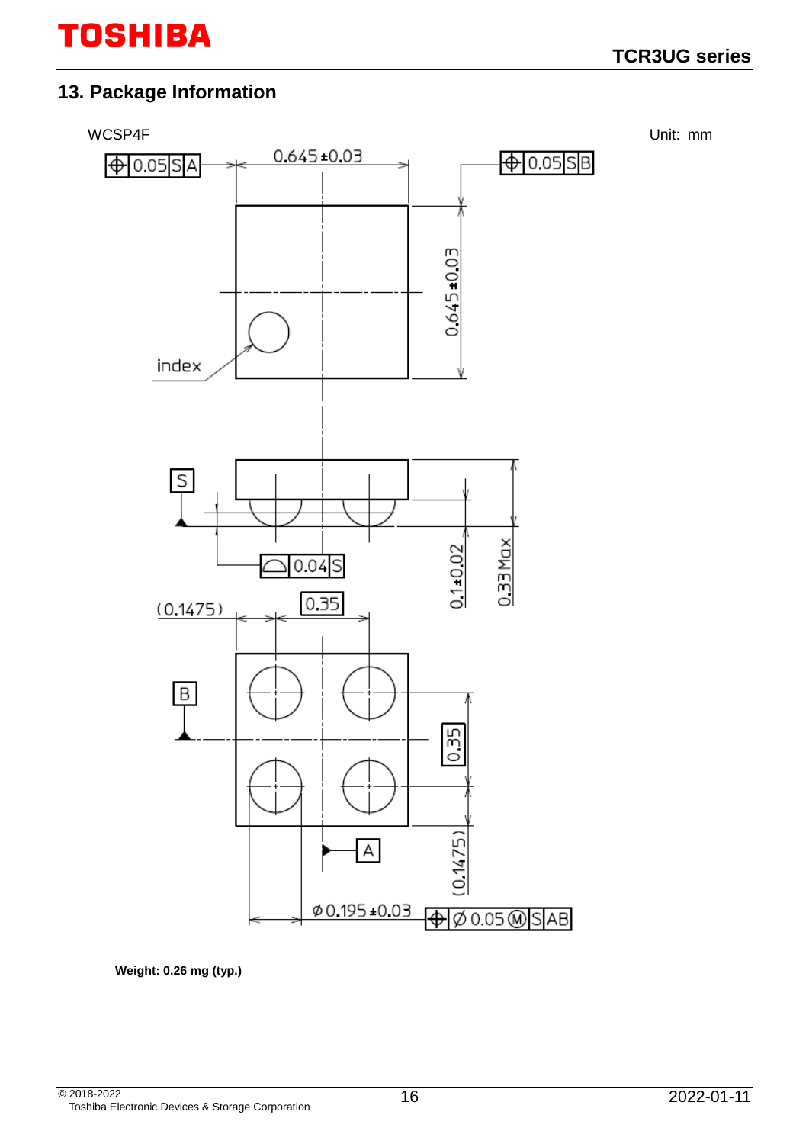# **13. Package Information**



**Weight: 0.26 mg (typ.)**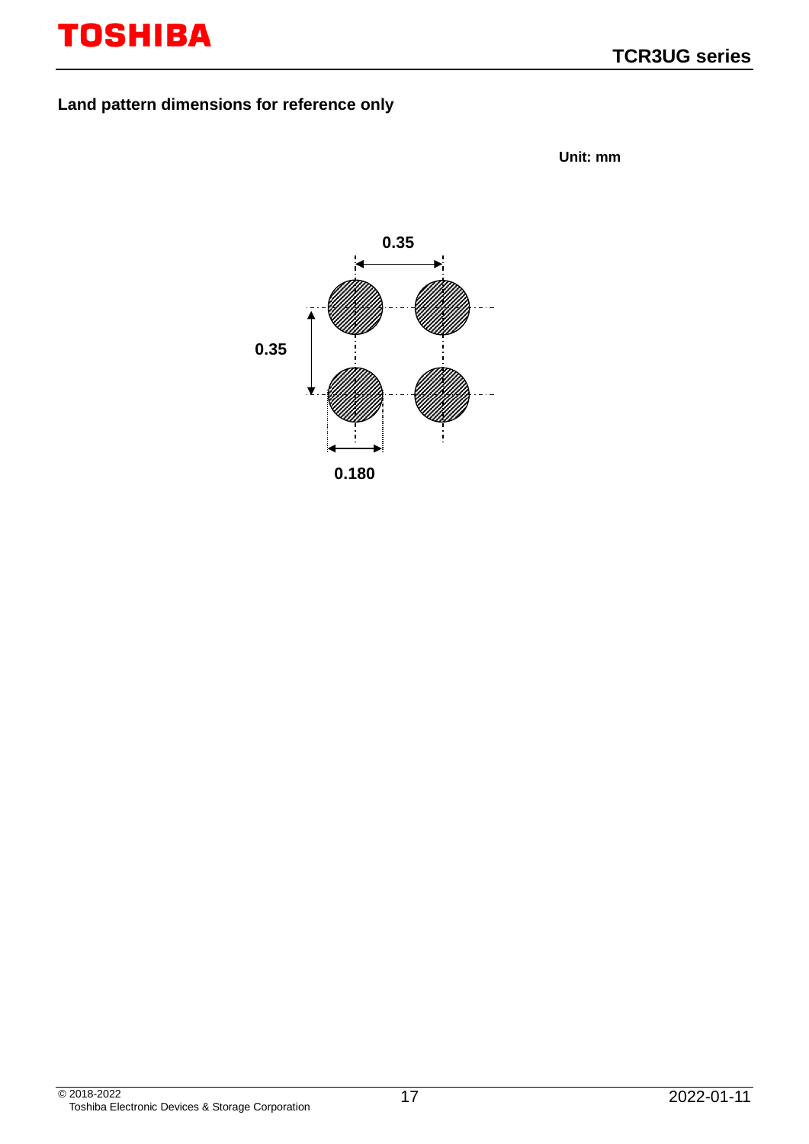### **Land pattern dimensions for reference only**

**Unit: mm**